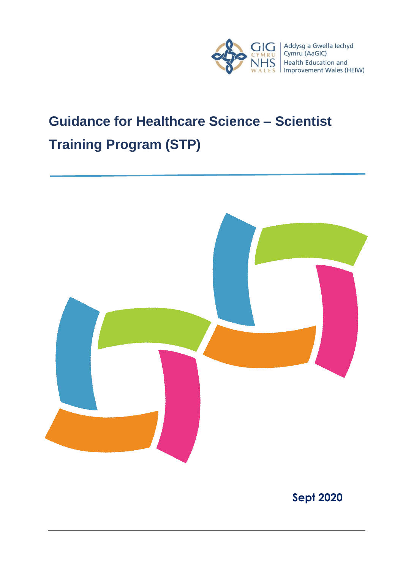

# **Guidance for Healthcare Science – Scientist Training Program (STP)**



**Sept 2020**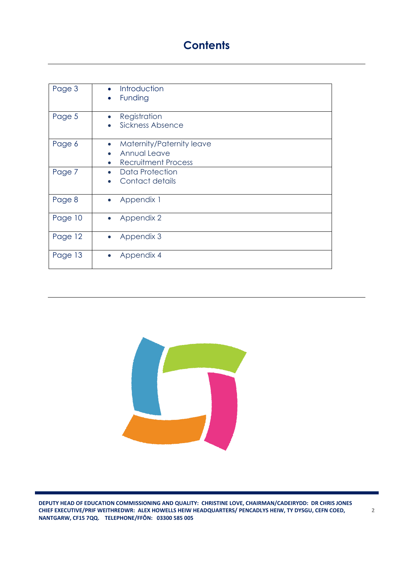# **Contents**

| Page 3  | Introduction<br>Funding                                                                                               |
|---------|-----------------------------------------------------------------------------------------------------------------------|
| Page 5  | Registration<br>Sickness Absence                                                                                      |
| Page 6  | Maternity/Paternity leave<br>$\bullet$<br><b>Annual Leave</b><br>$\bullet$<br><b>Recruitment Process</b><br>$\bullet$ |
| Page 7  | Data Protection<br>Contact details                                                                                    |
| Page 8  | Appendix 1                                                                                                            |
| Page 10 | Appendix 2<br>$\bullet$                                                                                               |
| Page 12 | Appendix 3<br>$\bullet$                                                                                               |
| Page 13 | Appendix 4                                                                                                            |

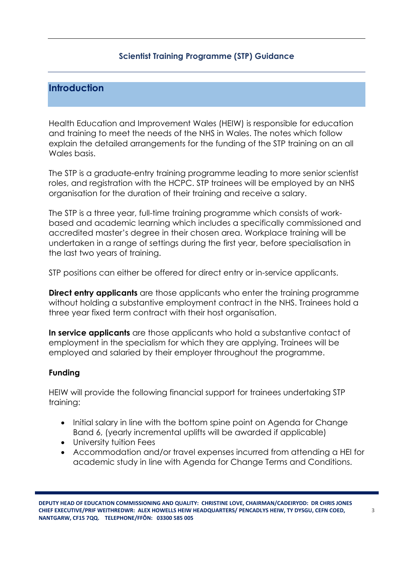#### **Scientist Training Programme (STP) Guidance**

# **Introduction**

Health Education and Improvement Wales (HEIW) is responsible for education and training to meet the needs of the NHS in Wales. The notes which follow explain the detailed arrangements for the funding of the STP training on an all Wales basis.

The STP is a graduate-entry training programme leading to more senior scientist roles, and registration with the HCPC. STP trainees will be employed by an NHS organisation for the duration of their training and receive a salary.

The STP is a three year, full-time training programme which consists of workbased and academic learning which includes a specifically commissioned and accredited master's degree in their chosen area. Workplace training will be undertaken in a range of settings during the first year, before specialisation in the last two years of training.

STP positions can either be offered for direct entry or in-service applicants.

**Direct entry applicants** are those applicants who enter the training programme without holding a substantive employment contract in the NHS. Trainees hold a three year fixed term contract with their host organisation.

**In service applicants** are those applicants who hold a substantive contact of employment in the specialism for which they are applying. Trainees will be employed and salaried by their employer throughout the programme.

#### **Funding**

HEIW will provide the following financial support for trainees undertaking STP training:

- Initial salary in line with the bottom spine point on Agenda for Change Band 6, (yearly incremental uplifts will be awarded if applicable)
- University tuition Fees
- Accommodation and/or travel expenses incurred from attending a HEI for academic study in line with Agenda for Change Terms and Conditions.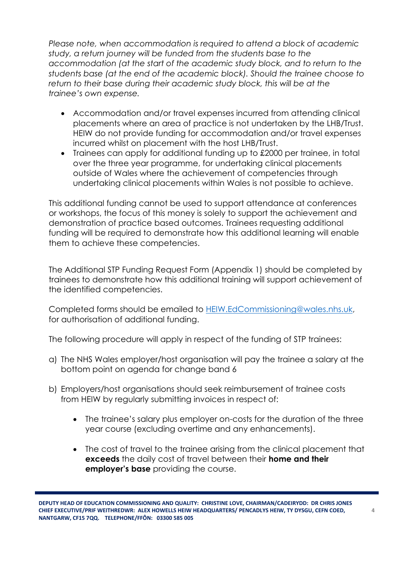*Please note, when accommodation is required to attend a block of academic study, a return journey will be funded from the students base to the accommodation (at the start of the academic study block, and to return to the students base (at the end of the academic block). Should the trainee choose to return to their base during their academic study block, this will be at the trainee's own expense.*

- Accommodation and/or travel expenses incurred from attending clinical placements where an area of practice is not undertaken by the LHB/Trust. HEIW do not provide funding for accommodation and/or travel expenses incurred whilst on placement with the host LHB/Trust.
- Trainees can apply for additional funding up to £2000 per trainee, in total over the three year programme, for undertaking clinical placements outside of Wales where the achievement of competencies through undertaking clinical placements within Wales is not possible to achieve.

This additional funding cannot be used to support attendance at conferences or workshops, the focus of this money is solely to support the achievement and demonstration of practice based outcomes. Trainees requesting additional funding will be required to demonstrate how this additional learning will enable them to achieve these competencies.

The Additional STP Funding Request Form (Appendix 1) should be completed by trainees to demonstrate how this additional training will support achievement of the identified competencies.

Completed forms should be emailed to [HEIW.EdCommissioning@wales.nhs.uk,](mailto:HEIW.EdCommissioning@wales.nhs.uk) for authorisation of additional funding.

The following procedure will apply in respect of the funding of STP trainees:

- a) The NHS Wales employer/host organisation will pay the trainee a salary at the bottom point on agenda for change band 6
- b) Employers/host organisations should seek reimbursement of trainee costs from HEIW by regularly submitting invoices in respect of:
	- The trainee's salary plus employer on-costs for the duration of the three year course (excluding overtime and any enhancements).
	- The cost of travel to the trainee arising from the clinical placement that **exceeds** the daily cost of travel between their **home and their employer's base** providing the course.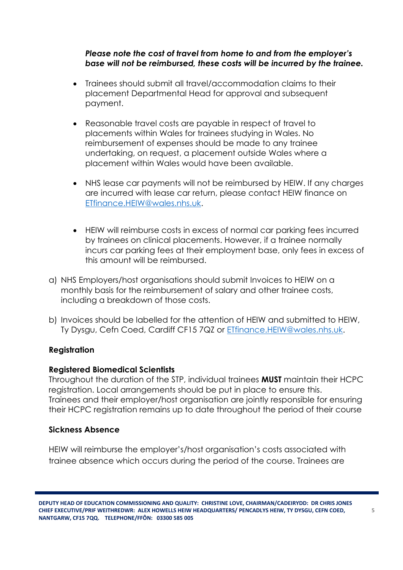#### *Please note the cost of travel from home to and from the employer's base will not be reimbursed, these costs will be incurred by the trainee.*

- Trainees should submit all travel/accommodation claims to their placement Departmental Head for approval and subsequent payment.
- Reasonable travel costs are payable in respect of travel to placements within Wales for trainees studying in Wales. No reimbursement of expenses should be made to any trainee undertaking, on request, a placement outside Wales where a placement within Wales would have been available.
- NHS lease car payments will not be reimbursed by HEIW. If any charges are incurred with lease car return, please contact HEIW finance on [ETfinance.HEIW@wales.nhs.uk.](mailto:ETfinance.HEIW@wales.nhs.uk)
- HEIW will reimburse costs in excess of normal car parking fees incurred by trainees on clinical placements. However, if a trainee normally incurs car parking fees at their employment base, only fees in excess of this amount will be reimbursed.
- a) NHS Employers/host organisations should submit Invoices to HEIW on a monthly basis for the reimbursement of salary and other trainee costs, including a breakdown of those costs.
- b) Invoices should be labelled for the attention of HEIW and submitted to HEIW, Ty Dysgu, Cefn Coed, Cardiff CF15 7QZ or [ETfinance.HEIW@wales.nhs.uk.](mailto:ETfinance.HEIW@wales.nhs.uk)

### **Registration**

#### **Registered Biomedical Scientists**

Throughout the duration of the STP, individual trainees **MUST** maintain their HCPC registration. Local arrangements should be put in place to ensure this. Trainees and their employer/host organisation are jointly responsible for ensuring their HCPC registration remains up to date throughout the period of their course

#### **Sickness Absence**

HEIW will reimburse the employer's/host organisation's costs associated with trainee absence which occurs during the period of the course. Trainees are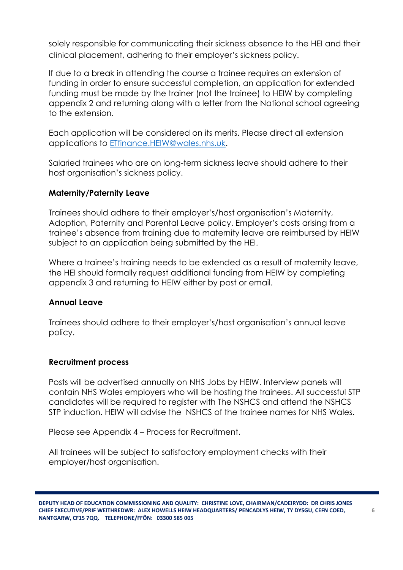solely responsible for communicating their sickness absence to the HEI and their clinical placement, adhering to their employer's sickness policy.

If due to a break in attending the course a trainee requires an extension of funding in order to ensure successful completion, an application for extended funding must be made by the trainer (not the trainee) to HEIW by completing appendix 2 and returning along with a letter from the National school agreeing to the extension.

Each application will be considered on its merits. Please direct all extension applications to [ETfinance.HEIW@wales.nhs.uk.](mailto:ETfinance.HEIW@wales.nhs.uk)

Salaried trainees who are on long-term sickness leave should adhere to their host organisation's sickness policy.

#### **Maternity/Paternity Leave**

Trainees should adhere to their employer's/host organisation's Maternity, Adoption, Paternity and Parental Leave policy. Employer's costs arising from a trainee's absence from training due to maternity leave are reimbursed by HEIW subject to an application being submitted by the HEI.

Where a trainee's training needs to be extended as a result of maternity leave, the HEI should formally request additional funding from HEIW by completing appendix 3 and returning to HEIW either by post or email.

#### **Annual Leave**

Trainees should adhere to their employer's/host organisation's annual leave policy.

#### **Recruitment process**

Posts will be advertised annually on NHS Jobs by HEIW. Interview panels will contain NHS Wales employers who will be hosting the trainees. All successful STP candidates will be required to register with The NSHCS and attend the NSHCS STP induction. HEIW will advise the NSHCS of the trainee names for NHS Wales.

Please see Appendix 4 – Process for Recruitment.

All trainees will be subject to satisfactory employment checks with their employer/host organisation.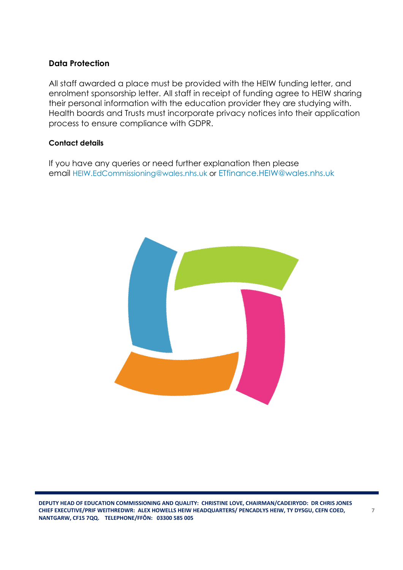#### **Data Protection**

All staff awarded a place must be provided with the HEIW funding letter, and enrolment sponsorship letter. All staff in receipt of funding agree to HEIW sharing their personal information with the education provider they are studying with. Health boards and Trusts must incorporate privacy notices into their application process to ensure compliance with GDPR.

#### **Contact details**

If you have any queries or need further explanation then please email [HEIW.EdCommissioning@wales.nhs.uk](mailto:HEIW.EdCommissioning@wales.nhs.uk) or [ETfinance.HEIW@wales.nhs.uk](mailto:ETfinance.HEIW@wales.nhs.uk)

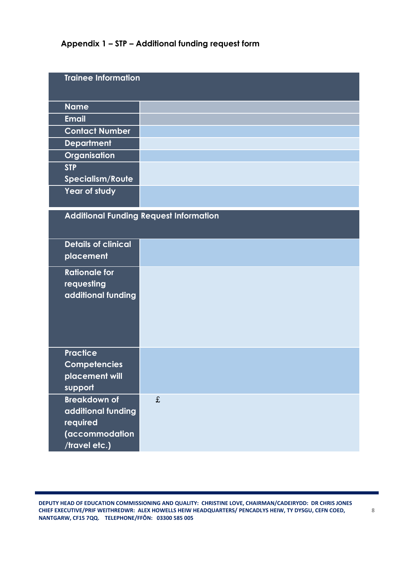# **Appendix 1 – STP – Additional funding request form**

| <b>Trainee Information</b>                                                               |                                               |
|------------------------------------------------------------------------------------------|-----------------------------------------------|
| <b>Name</b>                                                                              |                                               |
| <b>Email</b>                                                                             |                                               |
| <b>Contact Number</b>                                                                    |                                               |
| <b>Department</b>                                                                        |                                               |
| Organisation                                                                             |                                               |
| <b>STP</b>                                                                               |                                               |
| Specialism/Route                                                                         |                                               |
| Year of study                                                                            |                                               |
|                                                                                          | <b>Additional Funding Request Information</b> |
| <b>Details of clinical</b><br>placement                                                  |                                               |
| <b>Rationale for</b><br>requesting<br>additional funding                                 |                                               |
| <b>Practice</b><br>Competencies<br>placement will<br>support                             |                                               |
| <b>Breakdown of</b><br>additional funding<br>required<br>(accommodation<br>/travel etc.) | £                                             |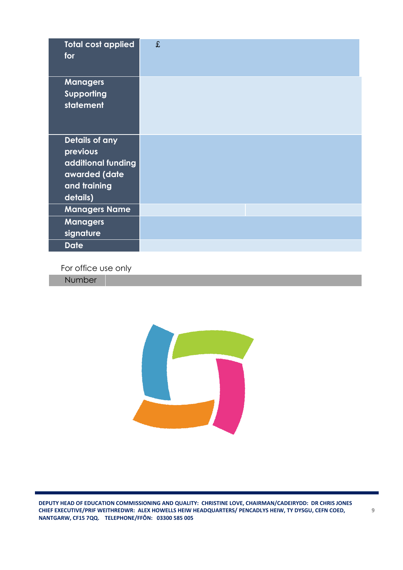| <b>Total cost applied</b><br>for                                                              | £ |
|-----------------------------------------------------------------------------------------------|---|
| <b>Managers</b><br>Supporting<br>statement                                                    |   |
| Details of any<br>previous<br>additional funding<br>awarded (date<br>and training<br>details) |   |
| <b>Managers Name</b>                                                                          |   |
| <b>Managers</b><br>signature                                                                  |   |
| <b>Date</b>                                                                                   |   |

For office use only

**Number** 

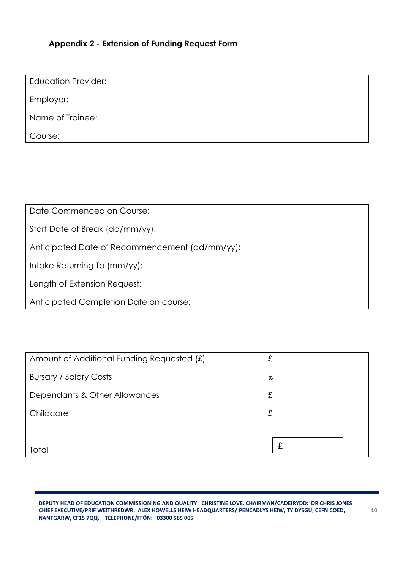#### **Appendix 2 - Extension of Funding Request Form**

Education Provider:

Employer:

Name of Trainee:

Course:

Date Commenced on Course:

Start Date of Break (dd/mm/yy):

Anticipated Date of Recommencement (dd/mm/yy):

Intake Returning To (mm/yy):

Length of Extension Request:

Anticipated Completion Date on course:

| Amount of Additional Funding Requested (£) | £ |
|--------------------------------------------|---|
| <b>Bursary / Salary Costs</b>              | £ |
| Dependants & Other Allowances              | £ |
| Childcare                                  | £ |
|                                            |   |
| Total                                      |   |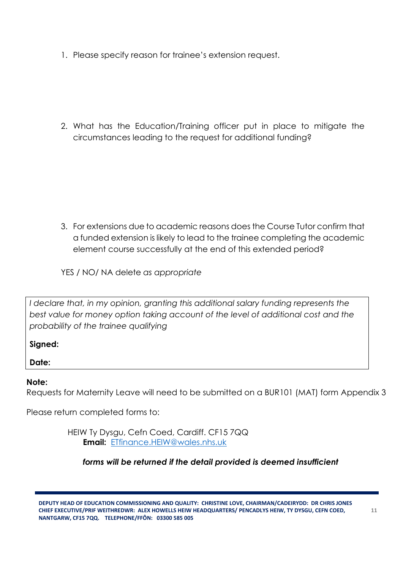1. Please specify reason for trainee's extension request.

2. What has the Education/Training officer put in place to mitigate the circumstances leading to the request for additional funding?

3. For extensions due to academic reasons does the Course Tutor confirm that a funded extension is likely to lead to the trainee completing the academic element course successfully at the end of this extended period?

YES / NO/ NA delete *as appropriate*

I declare that, in my opinion, granting this additional salary funding represents the *best value for money option taking account of the level of additional cost and the probability of the trainee qualifying*

### **Signed:**

**Date:**

#### **Note:**

Requests for Maternity Leave will need to be submitted on a BUR101 (MAT) form Appendix 3

Please return completed forms to:

HEIW Ty Dysgu, Cefn Coed, Cardiff. CF15 7QQ **Email:** [ETfinance.HEIW@wales.nhs.uk](mailto:ETfinance.HEIW@wales.nhs.uk)

#### *forms will be returned if the detail provided is deemed insufficient*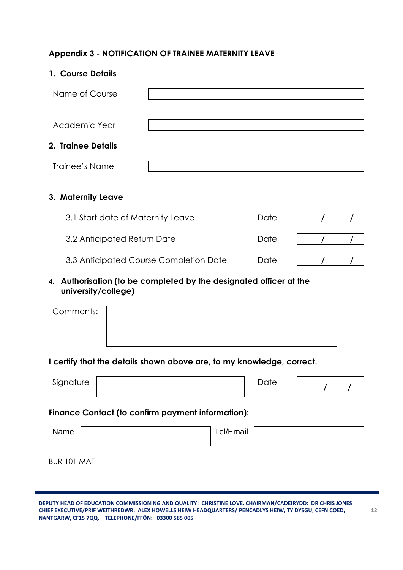# **Appendix 3 - NOTIFICATION OF TRAINEE MATERNITY LEAVE**

| 1. Course Details                      |                                   |      |  |
|----------------------------------------|-----------------------------------|------|--|
| Name of Course                         |                                   |      |  |
|                                        |                                   |      |  |
| Academic Year                          |                                   |      |  |
| 2. Trainee Details                     |                                   |      |  |
| Trainee's Name                         |                                   |      |  |
|                                        |                                   |      |  |
| 3. Maternity Leave                     |                                   |      |  |
|                                        | 3.1 Start date of Maternity Leave |      |  |
|                                        | 3.2 Anticipated Return Date       |      |  |
| 3.3 Anticipated Course Completion Date |                                   | Date |  |

#### **4. Authorisation (to be completed by the designated officer at the university/college)**

| Comments: |  |  |  |
|-----------|--|--|--|
|           |  |  |  |
|           |  |  |  |

#### **I certify that the details shown above are, to my knowledge, correct.**

| Signature | Date |  |
|-----------|------|--|
|           |      |  |

#### **Finance Contact (to confirm payment information):**

| Name        | Tel/Email |  |
|-------------|-----------|--|
| BUR 101 MAT |           |  |